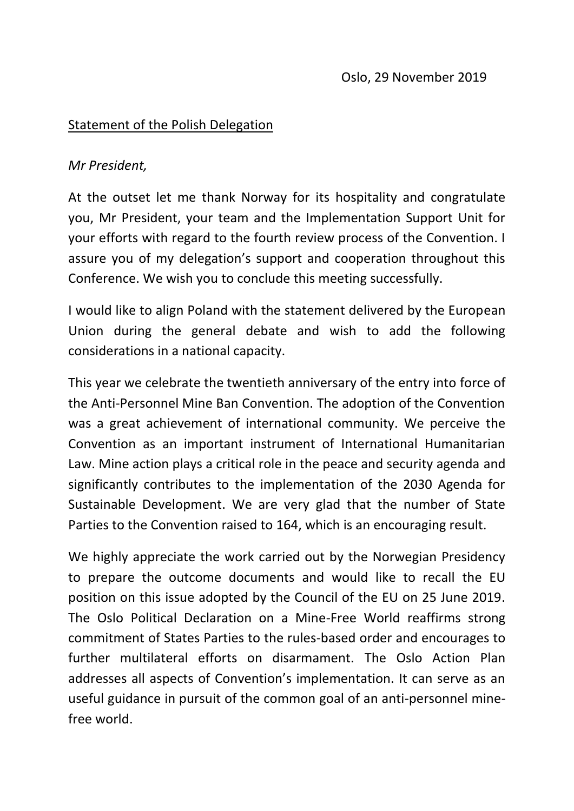#### Statement of the Polish Delegation

#### *Mr President,*

At the outset let me thank Norway for its hospitality and congratulate you, Mr President, your team and the Implementation Support Unit for your efforts with regard to the fourth review process of the Convention. I assure you of my delegation's support and cooperation throughout this Conference. We wish you to conclude this meeting successfully.

I would like to align Poland with the statement delivered by the European Union during the general debate and wish to add the following considerations in a national capacity.

This year we celebrate the twentieth anniversary of the entry into force of the Anti-Personnel Mine Ban Convention. The adoption of the Convention was a great achievement of international community. We perceive the Convention as an important instrument of International Humanitarian Law. Mine action plays a critical role in the peace and security agenda and significantly contributes to the implementation of the 2030 Agenda for Sustainable Development. We are very glad that the number of State Parties to the Convention raised to 164, which is an encouraging result.

We highly appreciate the work carried out by the Norwegian Presidency to prepare the outcome documents and would like to recall the EU position on this issue adopted by the Council of the EU on 25 June 2019. The Oslo Political Declaration on a Mine-Free World reaffirms strong commitment of States Parties to the rules-based order and encourages to further multilateral efforts on disarmament. The Oslo Action Plan addresses all aspects of Convention's implementation. It can serve as an useful guidance in pursuit of the common goal of an anti-personnel minefree world.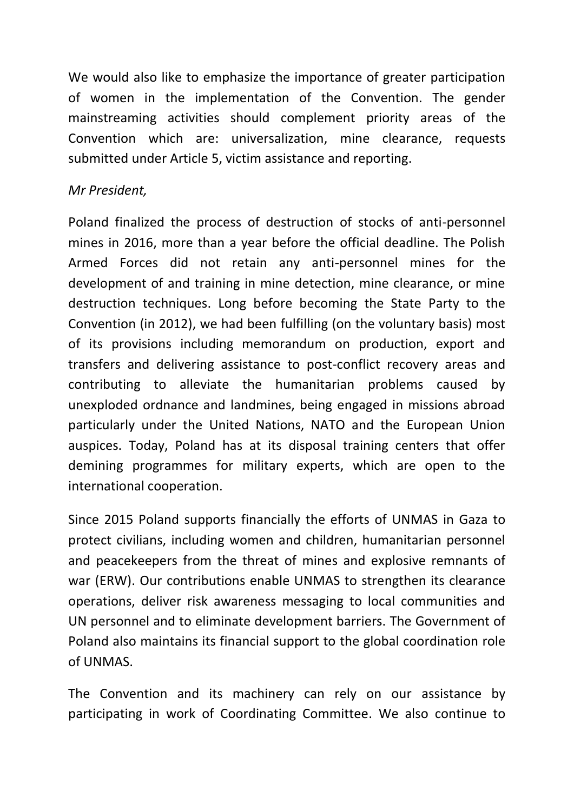We would also like to emphasize the importance of greater participation of women in the implementation of the Convention. The gender mainstreaming activities should complement priority areas of the Convention which are: universalization, mine clearance, requests submitted under Article 5, victim assistance and reporting.

### *Mr President,*

Poland finalized the process of destruction of stocks of anti-personnel mines in 2016, more than a year before the official deadline. The Polish Armed Forces did not retain any anti-personnel mines for the development of and training in mine detection, mine clearance, or mine destruction techniques. Long before becoming the State Party to the Convention (in 2012), we had been fulfilling (on the voluntary basis) most of its provisions including memorandum on production, export and transfers and delivering assistance to post-conflict recovery areas and contributing to alleviate the humanitarian problems caused by unexploded ordnance and landmines, being engaged in missions abroad particularly under the United Nations, NATO and the European Union auspices. Today, Poland has at its disposal training centers that offer demining programmes for military experts, which are open to the international cooperation.

Since 2015 Poland supports financially the efforts of UNMAS in Gaza to protect civilians, including women and children, humanitarian personnel and peacekeepers from the threat of mines and explosive remnants of war (ERW). Our contributions enable UNMAS to strengthen its clearance operations, deliver risk awareness messaging to local communities and UN personnel and to eliminate development barriers. The Government of Poland also maintains its financial support to the global coordination role of UNMAS.

The Convention and its machinery can rely on our assistance by participating in work of Coordinating Committee. We also continue to